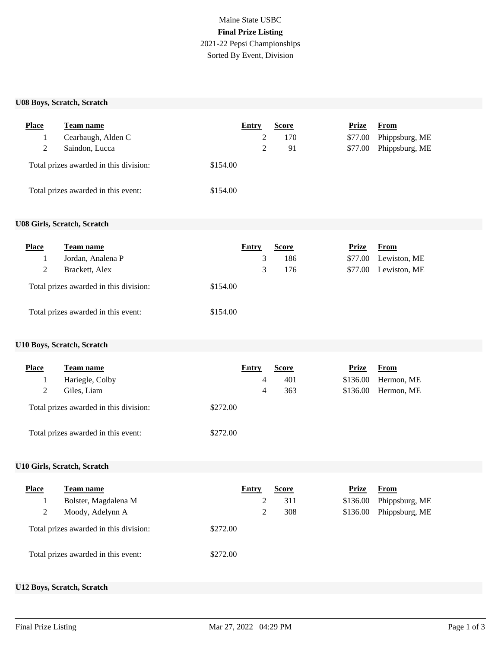# Maine State USBC **Final Prize Listing** 2021-22 Pepsi Championships Sorted By Event, Division

#### **U08 Boys, Scratch, Scratch**

| <b>Place</b> | <b>Team name</b>                       | Entry    | <b>Score</b> | Prize   | From           |
|--------------|----------------------------------------|----------|--------------|---------|----------------|
|              | Cearbaugh, Alden C                     |          | 170          | \$77.00 | Phippsburg, ME |
| 2            | Saindon, Lucca                         |          | 91           | \$77.00 | Phippsburg, ME |
|              | Total prizes awarded in this division: | \$154.00 |              |         |                |
|              | Total prizes awarded in this event:    | \$154.00 |              |         |                |

## **U08 Girls, Scratch, Scratch**

| <b>Place</b> | Team name                              | Entry    | <b>Score</b> | Prize   | From         |
|--------------|----------------------------------------|----------|--------------|---------|--------------|
|              | Jordan, Analena P                      |          | 186          | \$77.00 | Lewiston, ME |
|              | Brackett, Alex                         |          | 176          | \$77.00 | Lewiston, ME |
|              | Total prizes awarded in this division: | \$154.00 |              |         |              |
|              | Total prizes awarded in this event:    | \$154.00 |              |         |              |

# **U10 Boys, Scratch, Scratch**

| <b>Place</b> | Team name                              |          | Entry | <b>Score</b> | Prize    | From       |
|--------------|----------------------------------------|----------|-------|--------------|----------|------------|
|              | Hariegle, Colby                        |          | 4     | 401          | \$136.00 | Hermon, ME |
|              | Giles, Liam                            |          | 4     | 363          | \$136.00 | Hermon, ME |
|              | Total prizes awarded in this division: | \$272.00 |       |              |          |            |
|              | Total prizes awarded in this event:    | \$272.00 |       |              |          |            |

## **U10 Girls, Scratch, Scratch**

| <b>Place</b> | <b>Team name</b>                       | Entry    | <b>Score</b> | Prize    | From           |
|--------------|----------------------------------------|----------|--------------|----------|----------------|
|              | Bolster, Magdalena M                   |          | 311          | \$136.00 | Phippsburg, ME |
|              | Moody, Adelynn A                       |          | 308          | \$136.00 | Phippsburg, ME |
|              | Total prizes awarded in this division: | \$272.00 |              |          |                |
|              | Total prizes awarded in this event:    | \$272.00 |              |          |                |

## **U12 Boys, Scratch, Scratch**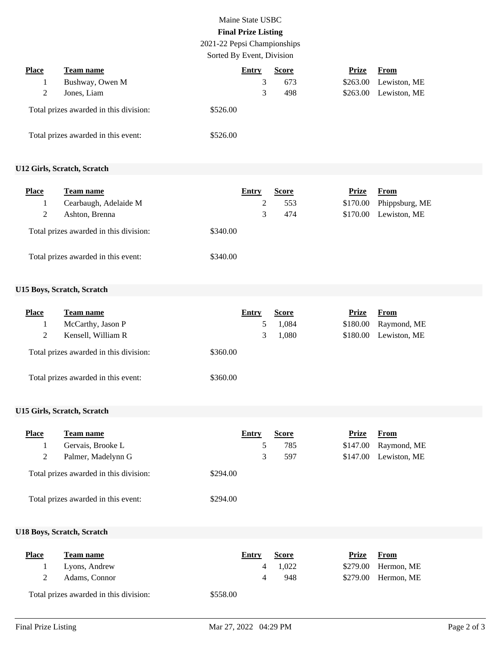# Maine State USBC **Final Prize Listing**

2021-22 Pepsi Championships Sorted By Event, Division

| <b>Place</b> | Team name                              | Entry    | <b>Score</b> | Prize    | From         |  |
|--------------|----------------------------------------|----------|--------------|----------|--------------|--|
|              | Bushway, Owen M                        |          | 673          | \$263.00 | Lewiston, ME |  |
|              | Jones, Liam                            | 3        | 498          | \$263.00 | Lewiston, ME |  |
|              | Total prizes awarded in this division: | \$526.00 |              |          |              |  |
|              | Total prizes awarded in this event:    | \$526.00 |              |          |              |  |

## **U12 Girls, Scratch, Scratch**

| <b>Place</b> | <b>Team name</b>                       |          | Entry | <b>Score</b> | Prize    | From           |
|--------------|----------------------------------------|----------|-------|--------------|----------|----------------|
|              | Cearbaugh, Adelaide M                  |          |       | 553          | \$170.00 | Phippsburg, ME |
| 2            | Ashton, Brenna                         |          | 3     | 474          | \$170.00 | Lewiston, ME   |
|              | Total prizes awarded in this division: | \$340.00 |       |              |          |                |
|              | Total prizes awarded in this event:    | \$340.00 |       |              |          |                |

### **U15 Boys, Scratch, Scratch**

| <b>Place</b> | Team name                              | Entry    | <b>Score</b> | Prize    | From         |
|--------------|----------------------------------------|----------|--------------|----------|--------------|
|              | McCarthy, Jason P                      |          | 1,084        | \$180.00 | Raymond, ME  |
|              | Kensell, William R                     | 3        | 1,080        | \$180.00 | Lewiston, ME |
|              | Total prizes awarded in this division: | \$360.00 |              |          |              |
|              | Total prizes awarded in this event:    | \$360.00 |              |          |              |

## **U15 Girls, Scratch, Scratch**

| <b>Place</b> | Team name                              | Entry    | <b>Score</b> | Prize    | From         |
|--------------|----------------------------------------|----------|--------------|----------|--------------|
|              | Gervais, Brooke L                      |          | 785          | \$147.00 | Raymond, ME  |
|              | Palmer, Madelynn G                     | 3.       | 597          | \$147.00 | Lewiston, ME |
|              | Total prizes awarded in this division: | \$294.00 |              |          |              |
|              | Total prizes awarded in this event:    | \$294.00 |              |          |              |

## **U18 Boys, Scratch, Scratch**

| <b>Place</b> | Team name                              | Entry    | <b>Score</b> | Prize | From                 |
|--------------|----------------------------------------|----------|--------------|-------|----------------------|
|              | Lyons, Andrew                          |          | 1.022        |       | $$279.00$ Hermon, ME |
|              | Adams, Connor                          |          | 948          |       | $$279.00$ Hermon, ME |
|              | Total prizes awarded in this division: | \$558.00 |              |       |                      |